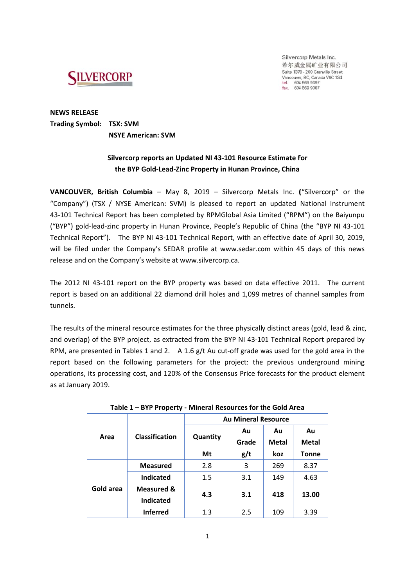

Silvercorp Metals Inc. 希尔威金属矿业有限公司 Suite 1378 - 200 Granville Street Vancouver, BC, Canada V6C 1S4<br>tel. 604 669 9397<br>fax. 604 669 9387

**NEWS RELEASE** Trading Symbol: TSX: SVM **NSYE American: SVM** 

# Silvercorp reports an Updated NI 43-101 Resource Estimate for the BYP Gold-Lead-Zinc Property in Hunan Province, China

VANCOUVER, British Columbia - May 8, 2019 - Silvercorp Metals Inc. ("Silvercorp" or the "Company") (TSX / NYSE American: SVM) is pleased to report an updated National Instrument 43-101 Technical Report has been completed by RPMGlobal Asia Limited ("RPM") on the Baiyunpu ("BYP") gold-lead-zinc property in Hunan Province, People's Republic of China (the "BYP NI 43-101 Technical Report"). The BYP NI 43-101 Technical Report, with an effective date of April 30, 2019, will be filed under the Company's SEDAR profile at www.sedar.com within 45 days of this news release and on the Company's website at www.silvercorp.ca.

The 2012 NI 43-101 report on the BYP property was based on data effective 2011. The current report is based on an additional 22 diamond drill holes and 1.099 metres of channel samples from tunnels.

The results of the mineral resource estimates for the three physically distinct areas (gold, lead & zinc, and overlap) of the BYP project, as extracted from the BYP NI 43-101 Technical Report prepared by RPM, are presented in Tables 1 and 2.  $\,$  A 1.6 g/t Au cut-off grade was used for the gold area in the report based on the following parameters for the project: the previous underground mining operations, its processing cost, and 120% of the Consensus Price forecasts for the product element as at January 2019.

| Area      | <b>Classification</b> | <b>Au Mineral Resource</b> |       |              |              |  |  |
|-----------|-----------------------|----------------------------|-------|--------------|--------------|--|--|
|           |                       | Quantity                   | Au    | Au           | Au           |  |  |
|           |                       |                            | Grade | <b>Metal</b> | <b>Metal</b> |  |  |
|           |                       | Mt                         | g/t   | koz          | <b>Tonne</b> |  |  |
| Gold area | <b>Measured</b>       | 2.8                        | 3     | 269          | 8.37         |  |  |
|           | <b>Indicated</b>      | 1.5                        | 3.1   | 149          | 4.63         |  |  |
|           | <b>Measured &amp;</b> |                            |       |              | 13.00        |  |  |
|           | <b>Indicated</b>      | 4.3                        | 3.1   | 418          |              |  |  |
|           | <b>Inferred</b>       | 1.3                        | 2.5   | 109          | 3.39         |  |  |

|  | Table 1 – BYP Property - Mineral Resources for the Gold Area |  |
|--|--------------------------------------------------------------|--|
|  |                                                              |  |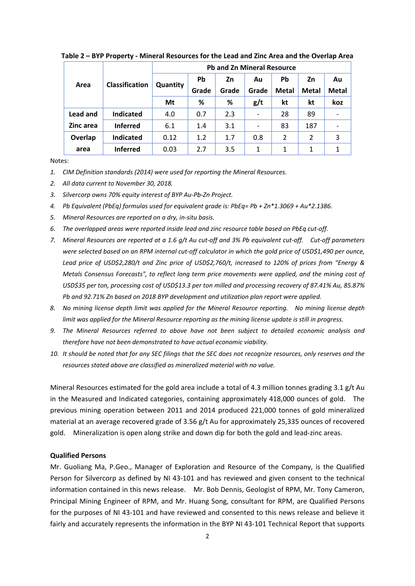|           | Classification   | <b>Pb and Zn Mineral Resource</b> |       |       |                 |              |                |              |
|-----------|------------------|-----------------------------------|-------|-------|-----------------|--------------|----------------|--------------|
| Area      |                  | Quantity                          | Pb    | Zn    | Au              | Pb           | Zn             | Au           |
|           |                  |                                   | Grade | Grade | Grade           | <b>Metal</b> | <b>Metal</b>   | <b>Metal</b> |
|           |                  | Mt                                | %     | %     | g/t             | kt           | kt             | koz          |
| Lead and  | <b>Indicated</b> | 4.0                               | 0.7   | 2.3   | $\qquad \qquad$ | 28           | 89             |              |
| Zinc area | <b>Inferred</b>  | 6.1                               | 1.4   | 3.1   |                 | 83           | 187            |              |
| Overlap   | <b>Indicated</b> | 0.12                              | 1.2   | 1.7   | 0.8             | 2            | $\overline{2}$ | 3            |
| area      | <b>Inferred</b>  | 0.03                              | 2.7   | 3.5   | 1               | 1            | 1              |              |

**Table 2 – BYP Property ‐ Mineral Resources for the Lead and Zinc Area and the Overlap Area**

Notes:

- *1. CIM Definition standards (2014) were used for reporting the Mineral Resources.*
- *2. All data current to November 30, 2018.*
- *3. Silvercorp owns 70% equity interest of BYP Au‐Pb‐Zn Project.*
- *4. Pb Equivalent (PbEq) formulas used for equivalent grade is: PbEq= Pb + Zn\*1.3069 + Au\*2.1386.*
- *5. Mineral Resources are reported on a dry, in‐situ basis.*
- *6. The overlapped areas were reported inside lead and zinc resource table based on PbEq cut‐off.*
- 7. Mineral Resources are reported at a 1.6 g/t Au cut-off and 3% Pb equivalent cut-off. Cut-off parameters were selected based on an RPM internal cut-off calculator in which the gold price of USD\$1,490 per ounce, *Lead price of USD\$2,280/t and Zinc price of USD\$2,760/t, increased to 120% of prices from "Energy & Metals Consensus Forecasts", to reflect long term price movements were applied, and the mining cost of USD\$35 per ton, processing cost of USD\$13.3 per ton milled and processing recovery of 87.41% Au, 85.87% Pb and 92.71% Zn based on 2018 BYP development and utilization plan report were applied.*
- 8. No mining license depth limit was applied for the Mineral Resource reporting. No mining license depth *limit was applied for the Mineral Resource reporting as the mining license update is still in progress.*
- *9. The Mineral Resources referred to above have not been subject to detailed economic analysis and therefore have not been demonstrated to have actual economic viability.*
- 10. It should be noted that for any SEC filings that the SEC does not recognize resources, only reserves and the *resources stated above are classified as mineralized material with no value.*

Mineral Resources estimated for the gold area include a total of 4.3 million tonnes grading 3.1 g/t Au in the Measured and Indicated categories, containing approximately 418,000 ounces of gold. The previous mining operation between 2011 and 2014 produced 221,000 tonnes of gold mineralized material at an average recovered grade of 3.56 g/t Au for approximately 25,335 ounces of recovered gold. Mineralization is open along strike and down dip for both the gold and lead‐zinc areas.

## **Qualified Persons**

Mr. Guoliang Ma, P.Geo., Manager of Exploration and Resource of the Company, is the Qualified Person for Silvercorp as defined by NI 43‐101 and has reviewed and given consent to the technical information contained in this news release. Mr. Bob Dennis, Geologist of RPM, Mr. Tony Cameron, Principal Mining Engineer of RPM, and Mr. Huang Song, consultant for RPM, are Qualified Persons for the purposes of NI 43‐101 and have reviewed and consented to this news release and believe it fairly and accurately represents the information in the BYP NI 43‐101 Technical Report that supports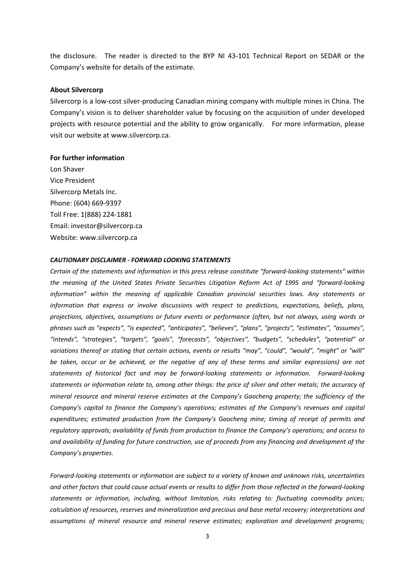the disclosure. The reader is directed to the BYP NI 43-101 Technical Report on SEDAR or the Company's website for details of the estimate.

### **About Silvercorp**

Silvercorp is a low‐cost silver‐producing Canadian mining company with multiple mines in China. The Company's vision is to deliver shareholder value by focusing on the acquisition of under developed projects with resource potential and the ability to grow organically. For more information, please visit our website at www.silvercorp.ca.

#### **For further information**

Lon Shaver Vice President Silvercorp Metals Inc. Phone: (604) 669‐9397 Toll Free: 1(888) 224‐1881 Email: investor@silvercorp.ca Website: www.silvercorp.ca

### *CAUTIONARY DISCLAIMER ‐ FORWARD LOOKING STATEMENTS*

*Certain of the statements and information in this press release constitute "forward‐looking statements" within the meaning of the United States Private Securities Litigation Reform Act of 1995 and "forward‐looking information" within the meaning of applicable Canadian provincial securities laws. Any statements or information that express or involve discussions with respect to predictions, expectations, beliefs, plans, projections, objectives, assumptions or future events or performance (often, but not always, using words or phrases such as "expects", "is expected", "anticipates", "believes", "plans", "projects", "estimates", "assumes", "intends", "strategies", "targets", "goals", "forecasts", "objectives", "budgets", "schedules", "potential" or variations thereof or stating that certain actions, events or results "may", "could", "would", "might" or "will"* be taken, occur or be achieved, or the negative of any of these terms and similar expressions) are not *statements of historical fact and may be forward‐looking statements or information. Forward‐looking* statements or information relate to, among other things: the price of silver and other metals; the accuracy of *mineral resource and mineral reserve estimates at the Company's Gaocheng property; the sufficiency of the Company's capital to finance the Company's operations; estimates of the Company's revenues and capital expenditures; estimated production from the Company's Gaocheng mine; timing of receipt of permits and regulatory approvals; availability of funds from production to finance the Company's operations; and access to* and availability of funding for future construction, use of proceeds from any financing and development of the *Company's properties.*

Forward-looking statements or information are subject to a variety of known and unknown risks, uncertainties and other factors that could cause actual events or results to differ from those reflected in the forward-looking *statements or information, including, without limitation, risks relating to: fluctuating commodity prices; calculation of resources, reserves and mineralization and precious and base metal recovery; interpretations and assumptions of mineral resource and mineral reserve estimates; exploration and development programs;*